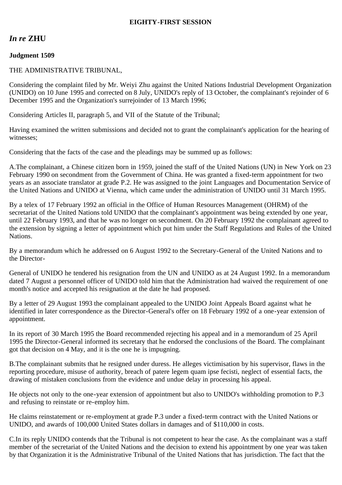## **EIGHTY-FIRST SESSION**

# *In re* **ZHU**

### **Judgment 1509**

### THE ADMINISTRATIVE TRIBUNAL,

Considering the complaint filed by Mr. Weiyi Zhu against the United Nations Industrial Development Organization (UNIDO) on 10 June 1995 and corrected on 8 July, UNIDO's reply of 13 October, the complainant's rejoinder of 6 December 1995 and the Organization's surrejoinder of 13 March 1996;

Considering Articles II, paragraph 5, and VII of the Statute of the Tribunal;

Having examined the written submissions and decided not to grant the complainant's application for the hearing of witnesses;

Considering that the facts of the case and the pleadings may be summed up as follows:

A.The complainant, a Chinese citizen born in 1959, joined the staff of the United Nations (UN) in New York on 23 February 1990 on secondment from the Government of China. He was granted a fixed-term appointment for two years as an associate translator at grade P.2. He was assigned to the joint Languages and Documentation Service of the United Nations and UNIDO at Vienna, which came under the administration of UNIDO until 31 March 1995.

By a telex of 17 February 1992 an official in the Office of Human Resources Management (OHRM) of the secretariat of the United Nations told UNIDO that the complainant's appointment was being extended by one year, until 22 February 1993, and that he was no longer on secondment. On 20 February 1992 the complainant agreed to the extension by signing a letter of appointment which put him under the Staff Regulations and Rules of the United Nations.

By a memorandum which he addressed on 6 August 1992 to the Secretary-General of the United Nations and to the Director-

General of UNIDO he tendered his resignation from the UN and UNIDO as at 24 August 1992. In a memorandum dated 7 August a personnel officer of UNIDO told him that the Administration had waived the requirement of one month's notice and accepted his resignation at the date he had proposed.

By a letter of 29 August 1993 the complainant appealed to the UNIDO Joint Appeals Board against what he identified in later correspondence as the Director-General's offer on 18 February 1992 of a one-year extension of appointment.

In its report of 30 March 1995 the Board recommended rejecting his appeal and in a memorandum of 25 April 1995 the Director-General informed its secretary that he endorsed the conclusions of the Board. The complainant got that decision on 4 May, and it is the one he is impugning.

B.The complainant submits that he resigned under duress. He alleges victimisation by his supervisor, flaws in the reporting procedure, misuse of authority, breach of patere legem quam ipse fecisti, neglect of essential facts, the drawing of mistaken conclusions from the evidence and undue delay in processing his appeal.

He objects not only to the one-year extension of appointment but also to UNIDO's withholding promotion to P.3 and refusing to reinstate or re-employ him.

He claims reinstatement or re-employment at grade P.3 under a fixed-term contract with the United Nations or UNIDO, and awards of 100,000 United States dollars in damages and of \$110,000 in costs.

C.In its reply UNIDO contends that the Tribunal is not competent to hear the case. As the complainant was a staff member of the secretariat of the United Nations and the decision to extend his appointment by one year was taken by that Organization it is the Administrative Tribunal of the United Nations that has jurisdiction. The fact that the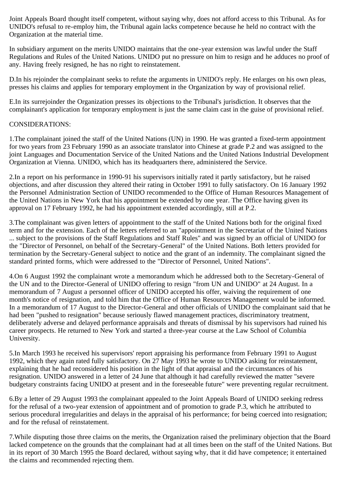Joint Appeals Board thought itself competent, without saying why, does not afford access to this Tribunal. As for UNIDO's refusal to re-employ him, the Tribunal again lacks competence because he held no contract with the Organization at the material time.

In subsidiary argument on the merits UNIDO maintains that the one-year extension was lawful under the Staff Regulations and Rules of the United Nations. UNIDO put no pressure on him to resign and he adduces no proof of any. Having freely resigned, he has no right to reinstatement.

D.In his rejoinder the complainant seeks to refute the arguments in UNIDO's reply. He enlarges on his own pleas, presses his claims and applies for temporary employment in the Organization by way of provisional relief.

E.In its surrejoinder the Organization presses its objections to the Tribunal's jurisdiction. It observes that the complainant's application for temporary employment is just the same claim cast in the guise of provisional relief.

## CONSIDERATIONS:

1.The complainant joined the staff of the United Nations (UN) in 1990. He was granted a fixed-term appointment for two years from 23 February 1990 as an associate translator into Chinese at grade P.2 and was assigned to the joint Languages and Documentation Service of the United Nations and the United Nations Industrial Development Organization at Vienna. UNIDO, which has its headquarters there, administered the Service.

2.In a report on his performance in 1990-91 his supervisors initially rated it partly satisfactory, but he raised objections, and after discussion they altered their rating in October 1991 to fully satisfactory. On 16 January 1992 the Personnel Administration Section of UNIDO recommended to the Office of Human Resources Management of the United Nations in New York that his appointment be extended by one year. The Office having given its approval on 17 February 1992, he had his appointment extended accordingly, still at P.2.

3.The complainant was given letters of appointment to the staff of the United Nations both for the original fixed term and for the extension. Each of the letters referred to an "appointment in the Secretariat of the United Nations ... subject to the provisions of the Staff Regulations and Staff Rules" and was signed by an official of UNIDO for the "Director of Personnel, on behalf of the Secretary-General" of the United Nations. Both letters provided for termination by the Secretary-General subject to notice and the grant of an indemnity. The complainant signed the standard printed forms, which were addressed to the "Director of Personnel, United Nations".

4.On 6 August 1992 the complainant wrote a memorandum which he addressed both to the Secretary-General of the UN and to the Director-General of UNIDO offering to resign "from UN and UNIDO" at 24 August. In a memorandum of 7 August a personnel officer of UNIDO accepted his offer, waiving the requirement of one month's notice of resignation, and told him that the Office of Human Resources Management would be informed. In a memorandum of 17 August to the Director-General and other officials of UNIDO the complainant said that he had been "pushed to resignation" because seriously flawed management practices, discriminatory treatment, deliberately adverse and delayed performance appraisals and threats of dismissal by his supervisors had ruined his career prospects. He returned to New York and started a three-year course at the Law School of Columbia University.

5.In March 1993 he received his supervisors' report appraising his performance from February 1991 to August 1992, which they again rated fully satisfactory. On 27 May 1993 he wrote to UNIDO asking for reinstatement, explaining that he had reconsidered his position in the light of that appraisal and the circumstances of his resignation. UNIDO answered in a letter of 24 June that although it had carefully reviewed the matter "severe budgetary constraints facing UNIDO at present and in the foreseeable future" were preventing regular recruitment.

6.By a letter of 29 August 1993 the complainant appealed to the Joint Appeals Board of UNIDO seeking redress for the refusal of a two-year extension of appointment and of promotion to grade P.3, which he attributed to serious procedural irregularities and delays in the appraisal of his performance; for being coerced into resignation; and for the refusal of reinstatement.

7.While disputing those three claims on the merits, the Organization raised the preliminary objection that the Board lacked competence on the grounds that the complainant had at all times been on the staff of the United Nations. But in its report of 30 March 1995 the Board declared, without saying why, that it did have competence; it entertained the claims and recommended rejecting them.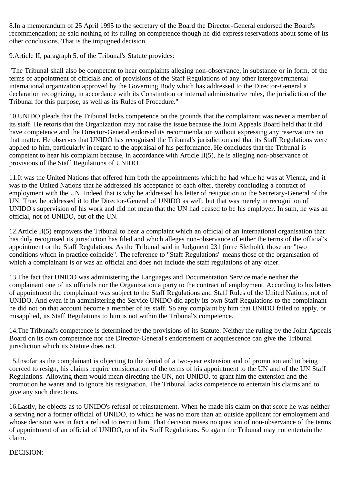8.In a memorandum of 25 April 1995 to the secretary of the Board the Director-General endorsed the Board's recommendation; he said nothing of its ruling on competence though he did express reservations about some of its other conclusions. That is the impugned decision.

9.Article II, paragraph 5, of the Tribunal's Statute provides:

"The Tribunal shall also be competent to hear complaints alleging non-observance, in substance or in form, of the terms of appointment of officials and of provisions of the Staff Regulations of any other intergovernmental international organization approved by the Governing Body which has addressed to the Director-General a declaration recognizing, in accordance with its Constitution or internal administrative rules, the jurisdiction of the Tribunal for this purpose, as well as its Rules of Procedure."

10.UNIDO pleads that the Tribunal lacks competence on the grounds that the complainant was never a member of its staff. He retorts that the Organization may not raise the issue because the Joint Appeals Board held that it did have competence and the Director-General endorsed its recommendation without expressing any reservations on that matter. He observes that UNIDO has recognised the Tribunal's jurisdiction and that its Staff Regulations were applied to him, particularly in regard to the appraisal of his performance. He concludes that the Tribunal is competent to hear his complaint because, in accordance with Article II(5), he is alleging non-observance of provisions of the Staff Regulations of UNIDO.

11.It was the United Nations that offered him both the appointments which he had while he was at Vienna, and it was to the United Nations that he addressed his acceptance of each offer, thereby concluding a contract of employment with the UN. Indeed that is why he addressed his letter of resignation to the Secretary-General of the UN. True, he addressed it to the Director-General of UNIDO as well, but that was merely in recognition of UNIDO's supervision of his work and did not mean that the UN had ceased to be his employer. In sum, he was an official, not of UNIDO, but of the UN.

12.Article II(5) empowers the Tribunal to hear a complaint which an official of an international organisation that has duly recognised its jurisdiction has filed and which alleges non-observance of either the terms of the official's appointment or the Staff Regulations. As the Tribunal said in Judgment 231 (in re Sletholt), those are "two conditions which in practice coincide". The reference to "Staff Regulations" means those of the organisation of which a complainant is or was an official and does not include the staff regulations of any other.

13.The fact that UNIDO was administering the Languages and Documentation Service made neither the complainant one of its officials nor the Organization a party to the contract of employment. According to his letters of appointment the complainant was subject to the Staff Regulations and Staff Rules of the United Nations, not of UNIDO. And even if in administering the Service UNIDO did apply its own Staff Regulations to the complainant he did not on that account become a member of its staff. So any complaint by him that UNIDO failed to apply, or misapplied, its Staff Regulations to him is not within the Tribunal's competence.

14.The Tribunal's competence is determined by the provisions of its Statute. Neither the ruling by the Joint Appeals Board on its own competence nor the Director-General's endorsement or acquiescence can give the Tribunal jurisdiction which its Statute does not.

15.Insofar as the complainant is objecting to the denial of a two-year extension and of promotion and to being coerced to resign, his claims require consideration of the terms of his appointment to the UN and of the UN Staff Regulations. Allowing them would mean directing the UN, not UNIDO, to grant him the extension and the promotion he wants and to ignore his resignation. The Tribunal lacks competence to entertain his claims and to give any such directions.

16.Lastly, he objects as to UNIDO's refusal of reinstatement. When he made his claim on that score he was neither a serving nor a former official of UNIDO, to which he was no more than an outside applicant for employment and whose decision was in fact a refusal to recruit him. That decision raises no question of non-observance of the terms of appointment of an official of UNIDO, or of its Staff Regulations. So again the Tribunal may not entertain the claim.

#### DECISION: